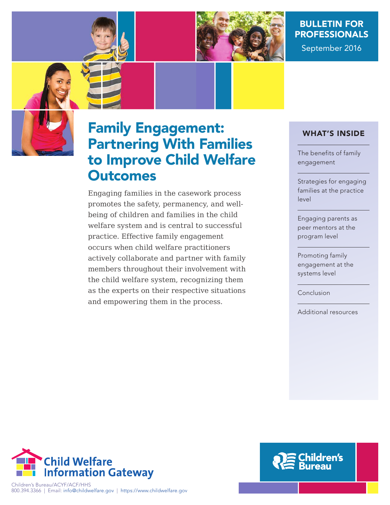

# BULLETIN FOR PROFESSIONALS

September 2016



# Family Engagement: Partnering With Families to Improve Child Welfare **Outcomes**

Engaging families in the casework process promotes the safety, permanency, and wellbeing of children and families in the child welfare system and is central to successful practice. Effective family engagement occurs when child welfare practitioners actively collaborate and partner with family members throughout their involvement with the child welfare system, recognizing them as the experts on their respective situations and empowering them in the process.

## WHAT'S INSIDE

The benefits of family engagement

Strategies for engaging families at the practice level

Engaging parents as peer mentors at the program level

Promoting family engagement at the systems level

Conclusion

Additional resources



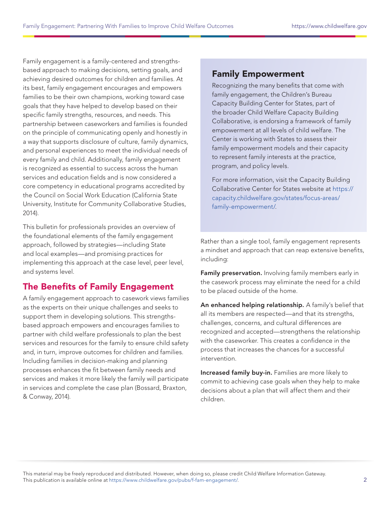Family engagement is a family-centered and strengthsbased approach to making decisions, setting goals, and achieving desired outcomes for children and families. At its best, family engagement encourages and empowers families to be their own champions, working toward case goals that they have helped to develop based on their specific family strengths, resources, and needs. This partnership between caseworkers and families is founded on the principle of communicating openly and honestly in a way that supports disclosure of culture, family dynamics, and personal experiences to meet the individual needs of every family and child. Additionally, family engagement is recognized as essential to success across the human services and education fields and is now considered a core competency in educational programs accredited by the Council on Social Work Education (California State University, Institute for Community Collaborative Studies, 2014).

This bulletin for professionals provides an overview of the foundational elements of the family engagement approach, followed by strategies—including State and local examples—and promising practices for implementing this approach at the case level, peer level, and systems level.

# The Benefits of Family Engagement

A family engagement approach to casework views families as the experts on their unique challenges and seeks to support them in developing solutions. This strengthsbased approach empowers and encourages families to partner with child welfare professionals to plan the best services and resources for the family to ensure child safety and, in turn, improve outcomes for children and families. Including families in decision-making and planning processes enhances the fit between family needs and services and makes it more likely the family will participate in services and complete the case plan (Bossard, Braxton, & Conway, 2014).

# Family Empowerment

Recognizing the many benefits that come with family engagement, the Children's Bureau Capacity Building Center for States, part of the broader Child Welfare Capacity Building Collaborative, is endorsing a framework of family empowerment at all levels of child welfare. The Center is working with States to assess their family empowerment models and their capacity to represent family interests at the practice, program, and policy levels.

For more information, visit the Capacity Building Collaborative Center for States website at [https://](https://capacity.childwelfare.gov/states/focus-areas/family-empowerment/) [capacity.childwelfare.gov/states/focus-areas/](https://capacity.childwelfare.gov/states/focus-areas/family-empowerment/) [family-empowerment/.](https://capacity.childwelfare.gov/states/focus-areas/family-empowerment/)

Rather than a single tool, family engagement represents a mindset and approach that can reap extensive benefits, including:

Family preservation. Involving family members early in the casework process may eliminate the need for a child to be placed outside of the home.

An enhanced helping relationship. A family's belief that all its members are respected—and that its strengths, challenges, concerns, and cultural differences are recognized and accepted—strengthens the relationship with the caseworker. This creates a confidence in the process that increases the chances for a successful intervention.

Increased family buy-in. Families are more likely to commit to achieving case goals when they help to make decisions about a plan that will affect them and their children.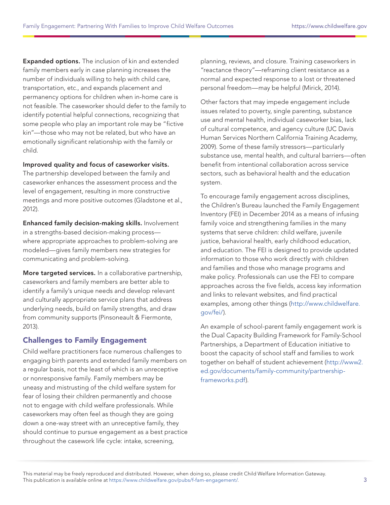Expanded options. The inclusion of kin and extended family members early in case planning increases the number of individuals willing to help with child care, transportation, etc., and expands placement and permanency options for children when in-home care is not feasible. The caseworker should defer to the family to identify potential helpful connections, recognizing that some people who play an important role may be "fictive kin"—those who may not be related, but who have an emotionally significant relationship with the family or child.

#### Improved quality and focus of caseworker visits.

The partnership developed between the family and caseworker enhances the assessment process and the level of engagement, resulting in more constructive meetings and more positive outcomes (Gladstone et al., 2012).

Enhanced family decision-making skills. Involvement in a strengths-based decision-making process where appropriate approaches to problem-solving are modeled—gives family members new strategies for communicating and problem-solving.

More targeted services. In a collaborative partnership, caseworkers and family members are better able to identify a family's unique needs and develop relevant and culturally appropriate service plans that address underlying needs, build on family strengths, and draw from community supports (Pinsoneault & Fiermonte, 2013).

#### Challenges to Family Engagement

Child welfare practitioners face numerous challenges to engaging birth parents and extended family members on a regular basis, not the least of which is an unreceptive or nonresponsive family. Family members may be uneasy and mistrusting of the child welfare system for fear of losing their children permanently and choose not to engage with child welfare professionals. While caseworkers may often feel as though they are going down a one-way street with an unreceptive family, they should continue to pursue engagement as a best practice throughout the casework life cycle: intake, screening,

planning, reviews, and closure. Training caseworkers in "reactance theory"—reframing client resistance as a normal and expected response to a lost or threatened personal freedom—may be helpful (Mirick, 2014).

Other factors that may impede engagement include issues related to poverty, single parenting, substance use and mental health, individual caseworker bias, lack of cultural competence, and agency culture (UC Davis Human Services Northern California Training Academy, 2009). Some of these family stressors—particularly substance use, mental health, and cultural barriers—often benefit from intentional collaboration across service sectors, such as behavioral health and the education system.

To encourage family engagement across disciplines, the Children's Bureau launched the Family Engagement Inventory (FEI) in December 2014 as a means of infusing family voice and strengthening families in the many systems that serve children: child welfare, juvenile justice, behavioral health, early childhood education, and education. The FEI is designed to provide updated information to those who work directly with children and families and those who manage programs and make policy. Professionals can use the FEI to compare approaches across the five fields, access key information and links to relevant websites, and find practical examples, among other things ([http://www.childwelfare.](http://www.childwelfare.gov/fei/) [gov/fei/\)](http://www.childwelfare.gov/fei/).

An example of school-parent family engagement work is the Dual Capacity Building Framework for Family-School Partnerships, a Department of Education initiative to boost the capacity of school staff and families to work together on behalf of student achievement ([http://www2.](http://www2.ed.gov/documents/family-community/partnership-frameworks.pdf) [ed.gov/documents/family-community/partnership](http://www2.ed.gov/documents/family-community/partnership-frameworks.pdf)[frameworks.pdf\)](http://www2.ed.gov/documents/family-community/partnership-frameworks.pdf).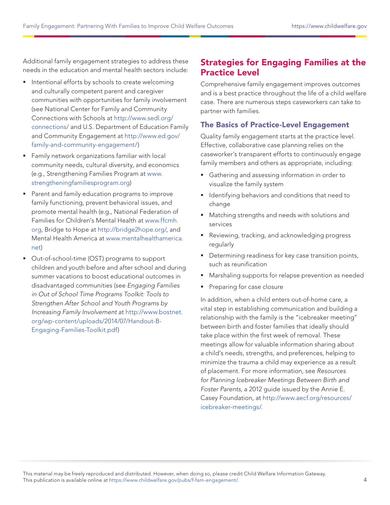Additional family engagement strategies to address these needs in the education and mental health sectors include:

- **Intentional efforts by schools to create welcoming** and culturally competent parent and caregiver communities with opportunities for family involvement (see National Center for Family and Community Connections with Schools at [http://www.sedl.org/](http://www.sedl.org/connections/) [connections/](http://www.sedl.org/connections/) and U.S. Department of Education Family and Community Engagement at [http://www.ed.gov/](http://www.ed.gov/family-and-community-engagement/) [family-and-community-engagement/](http://www.ed.gov/family-and-community-engagement/))
- **Family network organizations familiar with local** community needs, cultural diversity, and economics (e.g., Strengthening Families Program at [www.](www.strengtheningfamiliesprogram.org) [strengtheningfamiliesprogram.org\)](www.strengtheningfamiliesprogram.org)
- **Parent and family education programs to improve** family functioning, prevent behavioral issues, and promote mental health (e.g., National Federation of Families for Children's Mental Health at [www.ffcmh.](www.ffcmh.org) [org,](www.ffcmh.org) Bridge to Hope at http://bridge2hope.org/, and Mental Health America at [www.mentalhealthamerica.](www.mentalhealthamerica.net) [net](www.mentalhealthamerica.net))
- Out-of-school-time (OST) programs to support children and youth before and after school and during summer vacations to boost educational outcomes in disadvantaged communities (see Engaging Families in Out of School Time Programs Toolkit: Tools to Strengthen After School and Youth Programs by Increasing Family Involvement at [http://www.bostnet.](http://www.bostnet.org/wp-content/uploads/2014/07/Handout-B-Engaging-Families-Toolkit.pdf) [org/wp-content/uploads/2014/07/Handout-B-](http://www.bostnet.org/wp-content/uploads/2014/07/Handout-B-Engaging-Families-Toolkit.pdf)[Engaging-Families-Toolkit.pdf\)](http://www.bostnet.org/wp-content/uploads/2014/07/Handout-B-Engaging-Families-Toolkit.pdf)

# Strategies for Engaging Families at the Practice Level

Comprehensive family engagement improves outcomes and is a best practice throughout the life of a child welfare case. There are numerous steps caseworkers can take to partner with families.

#### The Basics of Practice-Level Engagement

Quality family engagement starts at the practice level. Effective, collaborative case planning relies on the caseworker's transparent efforts to continuously engage family members and others as appropriate, including:

- Gathering and assessing information in order to visualize the family system
- **I** Identifying behaviors and conditions that need to change
- Matching strengths and needs with solutions and services
- Reviewing, tracking, and acknowledging progress regularly
- **•** Determining readiness for key case transition points, such as reunification
- Marshaling supports for relapse prevention as needed
- Preparing for case closure

In addition, when a child enters out-of-home care, a vital step in establishing communication and building a relationship with the family is the "icebreaker meeting" between birth and foster families that ideally should take place within the first week of removal. These meetings allow for valuable information sharing about a child's needs, strengths, and preferences, helping to minimize the trauma a child may experience as a result of placement. For more information, see Resources for Planning Icebreaker Meetings Between Birth and Foster Parents, a 2012 guide issued by the Annie E. Casey Foundation, at [http://www.aecf.org/resources/](http://www.aecf.org/resources/icebreaker-meetings/) [icebreaker-meetings/.](http://www.aecf.org/resources/icebreaker-meetings/)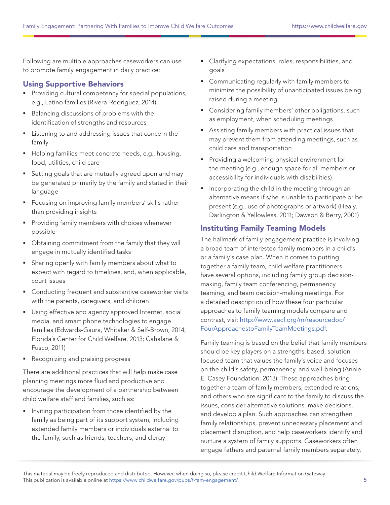Following are multiple approaches caseworkers can use to promote family engagement in daily practice:

#### Using Supportive Behaviors

- **Providing cultural competency for special populations,** e.g., Latino families (Rivera-Rodriguez, 2014)
- Balancing discussions of problems with the identification of strengths and resources
- **EXECUTE:** Listening to and addressing issues that concern the family
- Helping families meet concrete needs, e.g., housing, food, utilities, child care
- **Setting goals that are mutually agreed upon and may** be generated primarily by the family and stated in their language
- **Fiddio Frocusing on improving family members' skills rather** than providing insights
- **Providing family members with choices whenever** possible
- Obtaining commitment from the family that they will engage in mutually identified tasks
- **Sharing openly with family members about what to** expect with regard to timelines, and, when applicable, court issues
- Conducting frequent and substantive caseworker visits with the parents, caregivers, and children
- **Using effective and agency approved Internet, social** media, and smart phone technologies to engage families (Edwards-Gaura, Whitaker & Self-Brown, 2014; Florida's Center for Child Welfare, 2013; Cahalane & Fusco, 2011)
- Recognizing and praising progress

There are additional practices that will help make case planning meetings more fluid and productive and encourage the development of a partnership between child welfare staff and families, such as:

**Inviting participation from those identified by the** family as being part of its support system, including extended family members or individuals external to the family, such as friends, teachers, and clergy

- Clarifying expectations, roles, responsibilities, and goals
- **Communicating regularly with family members to** minimize the possibility of unanticipated issues being raised during a meeting
- **Considering family members' other obligations, such** as employment, when scheduling meetings
- Assisting family members with practical issues that may prevent them from attending meetings, such as child care and transportation
- **Providing a welcoming physical environment for** the meeting (e.g., enough space for all members or accessibility for individuals with disabilities)
- **I** Incorporating the child in the meeting through an alternative means if s/he is unable to participate or be present (e.g., use of photographs or artwork) (Healy, Darlington & Yellowless, 2011; Dawson & Berry, 2001)

#### Instituting Family Teaming Models

The hallmark of family engagement practice is involving a broad team of interested family members in a child's or a family's case plan. When it comes to putting together a family team, child welfare practitioners have several options, including family group decisionmaking, family team conferencing, permanency teaming, and team decision-making meetings. For a detailed description of how these four particular approaches to family teaming models compare and contrast, visit [http://www.aecf.org/m/resourcedoc/](http://www.aecf.org/m/resourcedoc/FourApproachestoFamilyTeamMeetings.pdf) [FourApproachestoFamilyTeamMeetings.pdf.](http://www.aecf.org/m/resourcedoc/FourApproachestoFamilyTeamMeetings.pdf)

Family teaming is based on the belief that family members should be key players on a strengths-based, solutionfocused team that values the family's voice and focuses on the child's safety, permanency, and well-being (Annie E. Casey Foundation, 2013). These approaches bring together a team of family members, extended relations, and others who are significant to the family to discuss the issues, consider alternative solutions, make decisions, and develop a plan. Such approaches can strengthen family relationships, prevent unnecessary placement and placement disruption, and help caseworkers identify and nurture a system of family supports. Caseworkers often engage fathers and paternal family members separately,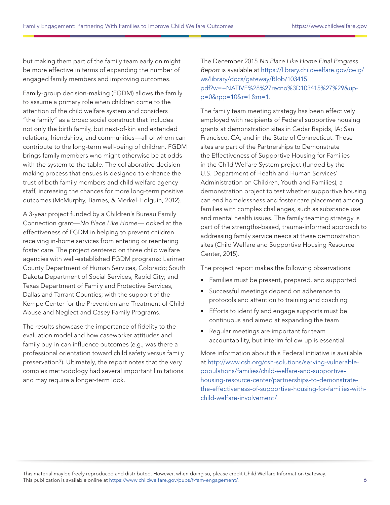but making them part of the family team early on might be more effective in terms of expanding the number of engaged family members and improving outcomes.

Family-group decision-making (FGDM) allows the family to assume a primary role when children come to the attention of the child welfare system and considers "the family" as a broad social construct that includes not only the birth family, but next-of-kin and extended relations, friendships, and communities—all of whom can contribute to the long-term well-being of children. FGDM brings family members who might otherwise be at odds with the system to the table. The collaborative decisionmaking process that ensues is designed to enhance the trust of both family members and child welfare agency staff, increasing the chances for more long-term positive outcomes (McMurphy, Barnes, & Merkel-Holguin, 2012).

A 3-year project funded by a Children's Bureau Family Connection grant—No Place Like Home—looked at the effectiveness of FGDM in helping to prevent children receiving in-home services from entering or reentering foster care. The project centered on three child welfare agencies with well-established FGDM programs: Larimer County Department of Human Services, Colorado; South Dakota Department of Social Services, Rapid City; and Texas Department of Family and Protective Services, Dallas and Tarrant Counties; with the support of the Kempe Center for the Prevention and Treatment of Child Abuse and Neglect and Casey Family Programs.

The results showcase the importance of fidelity to the evaluation model and how caseworker attitudes and family buy-in can influence outcomes (e.g., was there a professional orientation toward child safety versus family preservation?). Ultimately, the report notes that the very complex methodology had several important limitations and may require a longer-term look.

The December 2015 No Place Like Home Final Progress Report is available at [https://library.childwelfare.gov/cwig/](https://library.childwelfare.gov/cwig/ws/library/docs/gateway/Blob/103415.pdf?w=+NATIVE%28%27recno%3D103415%27%29&upp=0&rpp=10&r=1&m=1) [ws/library/docs/gateway/Blob/103415.](https://library.childwelfare.gov/cwig/ws/library/docs/gateway/Blob/103415.pdf?w=+NATIVE%28%27recno%3D103415%27%29&upp=0&rpp=10&r=1&m=1) [pdf?w=+NATIVE%28%27recno%3D103415%27%29&up](https://library.childwelfare.gov/cwig/ws/library/docs/gateway/Blob/103415.pdf?w=+NATIVE%28%27recno%3D103415%27%29&upp=0&rpp=10&r=1&m=1)[p=0&rpp=10&r=1&m=1](https://library.childwelfare.gov/cwig/ws/library/docs/gateway/Blob/103415.pdf?w=+NATIVE%28%27recno%3D103415%27%29&upp=0&rpp=10&r=1&m=1).

The family team meeting strategy has been effectively employed with recipients of Federal supportive housing grants at demonstration sites in Cedar Rapids, IA; San Francisco, CA; and in the State of Connecticut. These sites are part of the Partnerships to Demonstrate the Effectiveness of Supportive Housing for Families in the Child Welfare System project (funded by the U.S. Department of Health and Human Services' Administration on Children, Youth and Families), a demonstration project to test whether supportive housing can end homelessness and foster care placement among families with complex challenges, such as substance use and mental health issues. The family teaming strategy is part of the strengths-based, trauma-informed approach to addressing family service needs at these demonstration sites (Child Welfare and Supportive Housing Resource Center, 2015).

The project report makes the following observations:

- Families must be present, prepared, and supported
- Successful meetings depend on adherence to protocols and attention to training and coaching
- **Efforts to identify and engage supports must be** continuous and aimed at expanding the team
- Regular meetings are important for team accountability, but interim follow-up is essential

More information about this Federal initiative is available at [http://www.csh.org/csh-solutions/serving-vulnerable](http://www.csh.org/csh-solutions/serving-vulnerable-populations/families/child-welfare-and-supportive-housing-resource-center/partnerships-to-demonstrate-the-effectiveness-of-supportive-housing-for-families-with-child-welfare-involvement/)[populations/families/child-welfare-and-supportive](http://www.csh.org/csh-solutions/serving-vulnerable-populations/families/child-welfare-and-supportive-housing-resource-center/partnerships-to-demonstrate-the-effectiveness-of-supportive-housing-for-families-with-child-welfare-involvement/)[housing-resource-center/partnerships-to-demonstrate](http://www.csh.org/csh-solutions/serving-vulnerable-populations/families/child-welfare-and-supportive-housing-resource-center/partnerships-to-demonstrate-the-effectiveness-of-supportive-housing-for-families-with-child-welfare-involvement/)[the-effectiveness-of-supportive-housing-for-families-with](http://www.csh.org/csh-solutions/serving-vulnerable-populations/families/child-welfare-and-supportive-housing-resource-center/partnerships-to-demonstrate-the-effectiveness-of-supportive-housing-for-families-with-child-welfare-involvement/)[child-welfare-involvement/.](http://www.csh.org/csh-solutions/serving-vulnerable-populations/families/child-welfare-and-supportive-housing-resource-center/partnerships-to-demonstrate-the-effectiveness-of-supportive-housing-for-families-with-child-welfare-involvement/)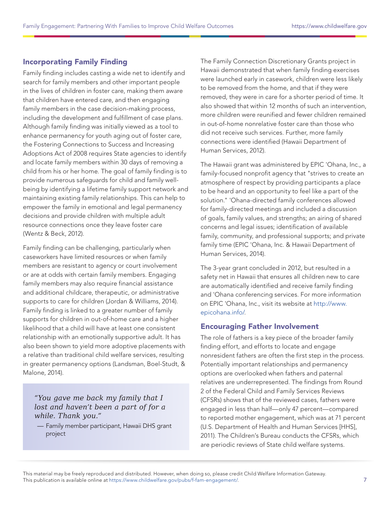## Incorporating Family Finding

Family finding includes casting a wide net to identify and search for family members and other important people in the lives of children in foster care, making them aware that children have entered care, and then engaging family members in the case decision-making process, including the development and fulfillment of case plans. Although family finding was initially viewed as a tool to enhance permanency for youth aging out of foster care, the Fostering Connections to Success and Increasing Adoptions Act of 2008 requires State agencies to identify and locate family members within 30 days of removing a child from his or her home. The goal of family finding is to provide numerous safeguards for child and family wellbeing by identifying a lifetime family support network and maintaining existing family relationships. This can help to empower the family in emotional and legal permanency decisions and provide children with multiple adult resource connections once they leave foster care (Wentz & Beck, 2012).

Family finding can be challenging, particularly when caseworkers have limited resources or when family members are resistant to agency or court involvement or are at odds with certain family members. Engaging family members may also require financial assistance and additional childcare, therapeutic, or administrative supports to care for children (Jordan & Williams, 2014). Family finding is linked to a greater number of family supports for children in out-of-home care and a higher likelihood that a child will have at least one consistent relationship with an emotionally supportive adult. It has also been shown to yield more adoptive placements with a relative than traditional child welfare services, resulting in greater permanency options (Landsman, Boel-Studt, & Malone, 2014).

#### *"You gave me back my family that I lost and haven't been a part of for a while. Thank you."*

— Family member participant, Hawaii DHS grant project

The Family Connection Discretionary Grants project in Hawaii demonstrated that when family finding exercises were launched early in casework, children were less likely to be removed from the home, and that if they were removed, they were in care for a shorter period of time. It also showed that within 12 months of such an intervention, more children were reunified and fewer children remained in out-of-home nonrelative foster care than those who did not receive such services. Further, more family connections were identified (Hawaii Department of Human Services, 2012).

The Hawaii grant was administered by EPIC 'Ohana, Inc., a family-focused nonprofit agency that "strives to create an atmosphere of respect by providing participants a place to be heard and an opportunity to feel like a part of the solution." 'Ohana-directed family conferences allowed for family-directed meetings and included a discussion of goals, family values, and strengths; an airing of shared concerns and legal issues; identification of available family, community, and professional supports; and private family time (EPIC 'Ohana, Inc. & Hawaii Department of Human Services, 2014).

The 3-year grant concluded in 2012, but resulted in a safety net in Hawaii that ensures all children new to care are automatically identified and receive family finding and 'Ohana conferencing services. For more information on EPIC 'Ohana, Inc., visit its website at [http://www.](http://www.epicohana.info/) [epicohana.info/.](http://www.epicohana.info/)

#### Encouraging Father Involvement

The role of fathers is a key piece of the broader family finding effort, and efforts to locate and engage nonresident fathers are often the first step in the process. Potentially important relationships and permanency options are overlooked when fathers and paternal relatives are underrepresented. The findings from Round 2 of the Federal Child and Family Services Reviews (CFSRs) shows that of the reviewed cases, fathers were engaged in less than half—only 47 percent—compared to reported mother engagement, which was at 71 percent (U.S. Department of Health and Human Services [HHS], 2011). The Children's Bureau conducts the CFSRs, which are periodic reviews of State child welfare systems.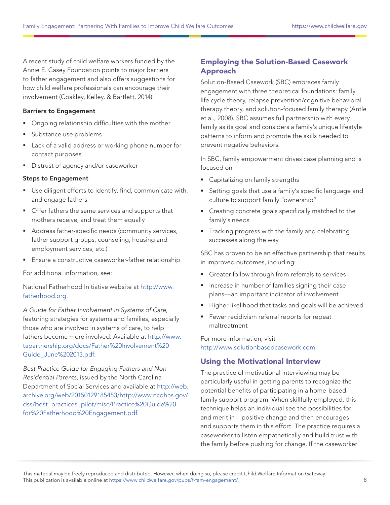A recent study of child welfare workers funded by the Annie E. Casey Foundation points to major barriers to father engagement and also offers suggestions for how child welfare professionals can encourage their involvement (Coakley, Kelley, & Bartlett, 2014):

#### Barriers to Engagement

- **•** Ongoing relationship difficulties with the mother
- Substance use problems
- Lack of a valid address or working phone number for contact purposes
- **Distrust of agency and/or caseworker**

#### Steps to Engagement

- Use diligent efforts to identify, find, communicate with, and engage fathers
- **Offer fathers the same services and supports that** mothers receive, and treat them equally
- Address father-specific needs (community services, father support groups, counseling, housing and employment services, etc.)
- **Ensure a constructive caseworker-father relationship**

For additional information, see:

National Fatherhood Initiative website at [http://www.](http://www.fatherhood.org) [fatherhood.org](http://www.fatherhood.org).

A Guide for Father Involvement in Systems of Care, featuring strategies for systems and families, especially those who are involved in systems of care, to help fathers become more involved. Available at [http://www.](http://www.tapartnership.org/docs/Father%20Involvement%20Guide_June%202013.pdf) [tapartnership.org/docs/Father%20Involvement%20](http://www.tapartnership.org/docs/Father%20Involvement%20Guide_June%202013.pdf) [Guide\\_June%202013.pdf.](http://www.tapartnership.org/docs/Father%20Involvement%20Guide_June%202013.pdf)

Best Practice Guide for Engaging Fathers and Non-Residential Parents, issued by the North Carolina Department of Social Services and available at [http://web.](http://web.archive.org/web/20150129185453/http://www.ncdhhs.gov/dss/best_practices_pilot/misc/Practice%20Guide%20for%20Fatherhood%20Engagement.pdf) [archive.org/web/20150129185453/http://www.ncdhhs.gov/](http://web.archive.org/web/20150129185453/http://www.ncdhhs.gov/dss/best_practices_pilot/misc/Practice%20Guide%20for%20Fatherhood%20Engagement.pdf) [dss/best\\_practices\\_pilot/misc/Practice%20Guide%20](http://web.archive.org/web/20150129185453/http://www.ncdhhs.gov/dss/best_practices_pilot/misc/Practice%20Guide%20for%20Fatherhood%20Engagement.pdf) [for%20Fatherhood%20Engagement.pdf](http://web.archive.org/web/20150129185453/http://www.ncdhhs.gov/dss/best_practices_pilot/misc/Practice%20Guide%20for%20Fatherhood%20Engagement.pdf).

#### Employing the Solution-Based Casework Approach

Solution-Based Casework (SBC) embraces family engagement with three theoretical foundations: family life cycle theory, relapse prevention/cognitive behavioral therapy theory, and solution-focused family therapy (Antle et al., 2008). SBC assumes full partnership with every family as its goal and considers a family's unique lifestyle patterns to inform and promote the skills needed to prevent negative behaviors.

In SBC, family empowerment drives case planning and is focused on:

- Capitalizing on family strengths
- Setting goals that use a family's specific language and culture to support family "ownership"
- **Creating concrete goals specifically matched to the** family's needs
- Tracking progress with the family and celebrating successes along the way

SBC has proven to be an effective partnership that results in improved outcomes, including:

- Greater follow through from referrals to services
- Increase in number of families signing their case plans—an important indicator of involvement
- Higher likelihood that tasks and goals will be achieved
- **Fewer recidivism referral reports for repeat** maltreatment

For more information, visit [http://www.solutionbasedcasework.com.](http://www.solutionbasedcasework.com)

#### Using the Motivational Interview

The practice of motivational interviewing may be particularly useful in getting parents to recognize the potential benefits of participating in a home-based family support program. When skillfully employed, this technique helps an individual see the possibilities for and merit in—positive change and then encourages and supports them in this effort. The practice requires a caseworker to listen empathetically and build trust with the family before pushing for change. If the caseworker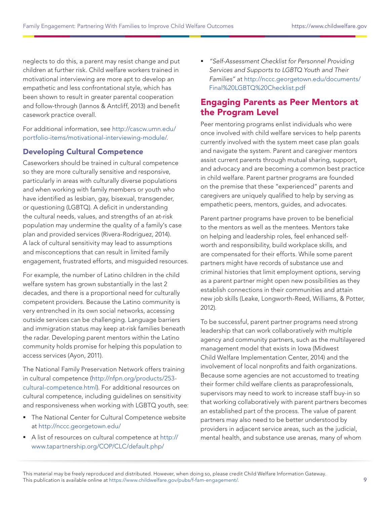neglects to do this, a parent may resist change and put children at further risk. Child welfare workers trained in motivational interviewing are more apt to develop an empathetic and less confrontational style, which has been shown to result in greater parental cooperation and follow-through (Iannos & Antcliff, 2013) and benefit casework practice overall.

For additional information, see [http://cascw.umn.edu/](http://cascw.umn.edu/portfolio-items/motivational-interviewing-module/) [portfolio-items/motivational-interviewing-module/](http://cascw.umn.edu/portfolio-items/motivational-interviewing-module/).

## Developing Cultural Competence

Caseworkers should be trained in cultural competence so they are more culturally sensitive and responsive, particularly in areas with culturally diverse populations and when working with family members or youth who have identified as lesbian, gay, bisexual, transgender, or questioning (LGBTQ). A deficit in understanding the cultural needs, values, and strengths of an at-risk population may undermine the quality of a family's case plan and provided services (Rivera-Rodriguez, 2014). A lack of cultural sensitivity may lead to assumptions and misconceptions that can result in limited family engagement, frustrated efforts, and misguided resources.

For example, the number of Latino children in the child welfare system has grown substantially in the last 2 decades, and there is a proportional need for culturally competent providers. Because the Latino community is very entrenched in its own social networks, accessing outside services can be challenging. Language barriers and immigration status may keep at-risk families beneath the radar. Developing parent mentors within the Latino community holds promise for helping this population to access services (Ayon, 2011).

The National Family Preservation Network offers training in cultural competence [\(http://nfpn.org/products/253](http://nfpn.org/products/253-cultural-competence.html) [cultural-competence.html\)](http://nfpn.org/products/253-cultural-competence.html). For additional resources on cultural competence, including guidelines on sensitivity and responsiveness when working with LGBTQ youth, see:

- **The National Center for Cultural Competence website** at <http://nccc.georgetown.edu/>
- A list of resources on cultural competence at [http://](http://www.tapartnership.org/COP/CLC/default.php/) [www.tapartnership.org/COP/CLC/default.php/](http://www.tapartnership.org/COP/CLC/default.php/)

 "Self-Assessment Checklist for Personnel Providing Services and Supports to LGBTQ Youth and Their Families" at [http://nccc.georgetown.edu/documents/](http://nccc.georgetown.edu/documents/Final%20LGBTQ%20Checklist.pdf) [Final%20LGBTQ%20Checklist.pdf](http://nccc.georgetown.edu/documents/Final%20LGBTQ%20Checklist.pdf)

## Engaging Parents as Peer Mentors at the Program Level

Peer mentoring programs enlist individuals who were once involved with child welfare services to help parents currently involved with the system meet case plan goals and navigate the system. Parent and caregiver mentors assist current parents through mutual sharing, support, and advocacy and are becoming a common best practice in child welfare. Parent partner programs are founded on the premise that these "experienced" parents and caregivers are uniquely qualified to help by serving as empathetic peers, mentors, guides, and advocates.

Parent partner programs have proven to be beneficial to the mentors as well as the mentees. Mentors take on helping and leadership roles, feel enhanced selfworth and responsibility, build workplace skills, and are compensated for their efforts. While some parent partners might have records of substance use and criminal histories that limit employment options, serving as a parent partner might open new possibilities as they establish connections in their communities and attain new job skills (Leake, Longworth-Reed, Williams, & Potter, 2012).

To be successful, parent partner programs need strong leadership that can work collaboratively with multiple agency and community partners, such as the multilayered management model that exists in Iowa (Midwest Child Welfare Implementation Center, 2014) and the involvement of local nonprofits and faith organizations. Because some agencies are not accustomed to treating their former child welfare clients as paraprofessionals, supervisors may need to work to increase staff buy-in so that working collaboratively with parent partners becomes an established part of the process. The value of parent partners may also need to be better understood by providers in adjacent service areas, such as the judicial, mental health, and substance use arenas, many of whom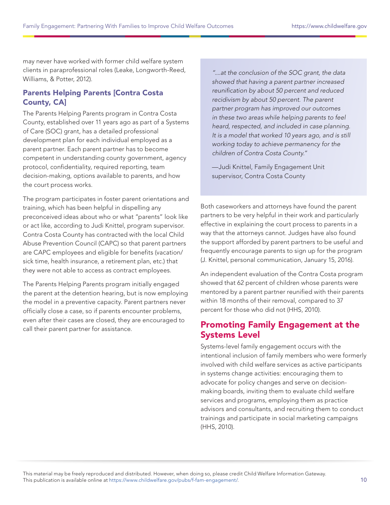may never have worked with former child welfare system clients in paraprofessional roles (Leake, Longworth-Reed, Williams, & Potter, 2012).

#### Parents Helping Parents [Contra Costa County, CA]

The Parents Helping Parents program in Contra Costa County, established over 11 years ago as part of a Systems of Care (SOC) grant, has a detailed professional development plan for each individual employed as a parent partner. Each parent partner has to become competent in understanding county government, agency protocol, confidentiality, required reporting, team decision-making, options available to parents, and how the court process works.

The program participates in foster parent orientations and training, which has been helpful in dispelling any preconceived ideas about who or what "parents" look like or act like, according to Judi Knittel, program supervisor. Contra Costa County has contracted with the local Child Abuse Prevention Council (CAPC) so that parent partners are CAPC employees and eligible for benefits (vacation/ sick time, health insurance, a retirement plan, etc.) that they were not able to access as contract employees.

The Parents Helping Parents program initially engaged the parent at the detention hearing, but is now employing the model in a preventive capacity. Parent partners never officially close a case, so if parents encounter problems, even after their cases are closed, they are encouraged to call their parent partner for assistance.

"....at the conclusion of the SOC grant, the data showed that having a parent partner increased reunification by about 50 percent and reduced recidivism by about 50 percent. The parent partner program has improved our outcomes in these two areas while helping parents to feel heard, respected, and included in case planning. It is a model that worked 10 years ago, and is still working today to achieve permanency for the children of Contra Costa County."

—Judi Knittel, Family Engagement Unit supervisor, Contra Costa County

Both caseworkers and attorneys have found the parent partners to be very helpful in their work and particularly effective in explaining the court process to parents in a way that the attorneys cannot. Judges have also found the support afforded by parent partners to be useful and frequently encourage parents to sign up for the program (J. Knittel, personal communication, January 15, 2016).

An independent evaluation of the Contra Costa program showed that 62 percent of children whose parents were mentored by a parent partner reunified with their parents within 18 months of their removal, compared to 37 percent for those who did not (HHS, 2010).

# Promoting Family Engagement at the Systems Level

Systems-level family engagement occurs with the intentional inclusion of family members who were formerly involved with child welfare services as active participants in systems change activities: encouraging them to advocate for policy changes and serve on decisionmaking boards, inviting them to evaluate child welfare services and programs, employing them as practice advisors and consultants, and recruiting them to conduct trainings and participate in social marketing campaigns (HHS, 2010).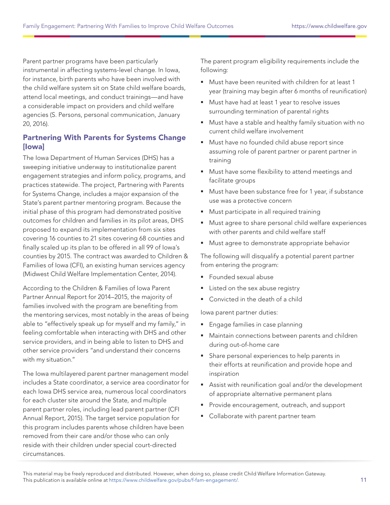Parent partner programs have been particularly instrumental in affecting systems-level change. In Iowa, for instance, birth parents who have been involved with the child welfare system sit on State child welfare boards, attend local meetings, and conduct trainings—and have a considerable impact on providers and child welfare agencies (S. Persons, personal communication, January 20, 2016).

## Partnering With Parents for Systems Change [Iowa]

The Iowa Department of Human Services (DHS) has a sweeping initiative underway to institutionalize parent engagement strategies and inform policy, programs, and practices statewide. The project, Partnering with Parents for Systems Change, includes a major expansion of the State's parent partner mentoring program. Because the initial phase of this program had demonstrated positive outcomes for children and families in its pilot areas, DHS proposed to expand its implementation from six sites covering 16 counties to 21 sites covering 68 counties and finally scaled up its plan to be offered in all 99 of Iowa's counties by 2015. The contract was awarded to Children & Families of Iowa (CFI), an existing human services agency (Midwest Child Welfare Implementation Center, 2014).

According to the Children & Families of Iowa Parent Partner Annual Report for 2014–2015, the majority of families involved with the program are benefiting from the mentoring services, most notably in the areas of being able to "effectively speak up for myself and my family," in feeling comfortable when interacting with DHS and other service providers, and in being able to listen to DHS and other service providers "and understand their concerns with my situation."

The Iowa multilayered parent partner management model includes a State coordinator, a service area coordinator for each Iowa DHS service area, numerous local coordinators for each cluster site around the State, and multiple parent partner roles, including lead parent partner (CFI Annual Report, 2015). The target service population for this program includes parents whose children have been removed from their care and/or those who can only reside with their children under special court-directed circumstances.

The parent program eligibility requirements include the following:

- Must have been reunited with children for at least 1 year (training may begin after 6 months of reunification)
- **Must have had at least 1 year to resolve issues** surrounding termination of parental rights
- Must have a stable and healthy family situation with no current child welfare involvement
- Must have no founded child abuse report since assuming role of parent partner or parent partner in training
- **Must have some flexibility to attend meetings and** facilitate groups
- Must have been substance free for 1 year, if substance use was a protective concern
- **Must participate in all required training**
- Must agree to share personal child welfare experiences with other parents and child welfare staff
- **Must agree to demonstrate appropriate behavior**

The following will disqualify a potential parent partner from entering the program:

- Founded sexual abuse
- Listed on the sex abuse registry
- Convicted in the death of a child

Iowa parent partner duties:

- **Engage families in case planning**
- Maintain connections between parents and children during out-of-home care
- **Share personal experiences to help parents in** their efforts at reunification and provide hope and inspiration
- Assist with reunification goal and/or the development of appropriate alternative permanent plans
- **Provide encouragement, outreach, and support**
- **Collaborate with parent partner team**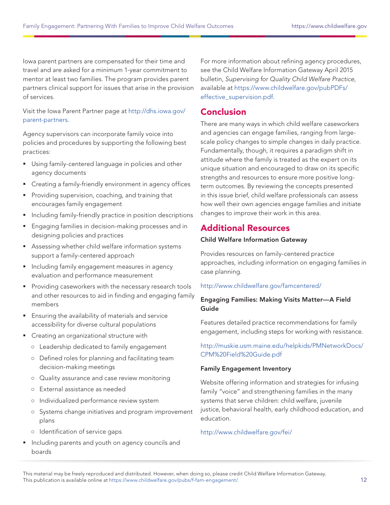Iowa parent partners are compensated for their time and travel and are asked for a minimum 1-year commitment to mentor at least two families. The program provides parent partners clinical support for issues that arise in the provision of services.

Visit the Iowa Parent Partner page at [http://dhs.iowa.gov/](http://dhs.iowa.gov/parent-partners) [parent-partners](http://dhs.iowa.gov/parent-partners).

Agency supervisors can incorporate family voice into policies and procedures by supporting the following best practices:

- **Using family-centered language in policies and other** agency documents
- Creating a family-friendly environment in agency offices
- **Providing supervision, coaching, and training that** encourages family engagement
- **Including family-friendly practice in position descriptions**
- **Engaging families in decision-making processes and in** designing policies and practices
- Assessing whether child welfare information systems support a family-centered approach
- **Including family engagement measures in agency** evaluation and performance measurement
- **Providing caseworkers with the necessary research tools** and other resources to aid in finding and engaging family members
- **Ensuring the availability of materials and service** accessibility for diverse cultural populations
- **Creating an organizational structure with** 
	- **○** Leadership dedicated to family engagement
	- **○** Defined roles for planning and facilitating team decision-making meetings
	- **○** Quality assurance and case review monitoring
	- **○** External assistance as needed
	- **○** Individualized performance review system
	- **○** Systems change initiatives and program improvement plans
	- **○** Identification of service gaps
- **Including parents and youth on agency councils and** boards

For more information about refining agency procedures, see the Child Welfare Information Gateway April 2015 bulletin, Supervising for Quality Child Welfare Practice, available at [https://www.childwelfare.gov/pubPDFs/](https://www.childwelfare.gov/pubPDFs/effective_supervision.pdf) [effective\\_supervision.pdf](https://www.childwelfare.gov/pubPDFs/effective_supervision.pdf).

## Conclusion

There are many ways in which child welfare caseworkers and agencies can engage families, ranging from largescale policy changes to simple changes in daily practice. Fundamentally, though, it requires a paradigm shift in attitude where the family is treated as the expert on its unique situation and encouraged to draw on its specific strengths and resources to ensure more positive longterm outcomes. By reviewing the concepts presented in this issue brief, child welfare professionals can assess how well their own agencies engage families and initiate changes to improve their work in this area.

# Additional Resources

#### Child Welfare Information Gateway

Provides resources on family-centered practice approaches, including information on engaging families in case planning.

#### <http://www.childwelfare.gov/famcentered/>

#### Engaging Families: Making Visits Matter—A Field Guide

Features detailed practice recommendations for family engagement, including steps for working with resistance.

#### [http://muskie.usm.maine.edu/helpkids/PMNetworkDocs/](http://muskie.usm.maine.edu/helpkids/PMNetworkDocs/CPM%20Field%20Guide.pdf) [CPM%20Field%20Guide.pdf](http://muskie.usm.maine.edu/helpkids/PMNetworkDocs/CPM%20Field%20Guide.pdf)

#### Family Engagement Inventory

Website offering information and strategies for infusing family "voice" and strengthening families in the many systems that serve children: child welfare, juvenile justice, behavioral health, early childhood education, and education.

#### <http://www.childwelfare.gov/fei/>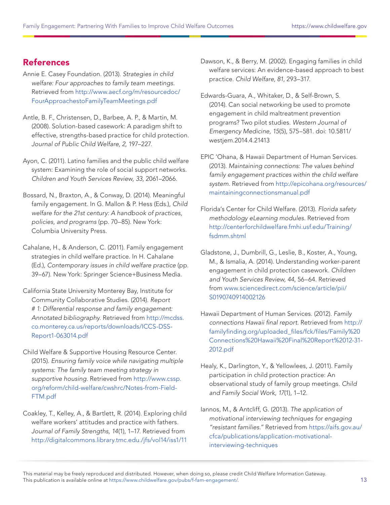# References

- Annie E. Casey Foundation. (2013). Strategies in child welfare: Four approaches to family team meetings. Retrieved from [http://www.aecf.org/m/resourcedoc/](http://www.aecf.org/m/resourcedoc/FourApproachestoFamilyTeamMeetings.pdf) [FourApproachestoFamilyTeamMeetings.pdf](http://www.aecf.org/m/resourcedoc/FourApproachestoFamilyTeamMeetings.pdf)
- Antle, B. F., Christensen, D., Barbee, A. P., & Martin, M. (2008). Solution-based casework: A paradigm shift to effective, strengths-based practice for child protection. Journal of Public Child Welfare, 2, 197–227.
- Ayon, C. (2011). Latino families and the public child welfare system: Examining the role of social support networks. Children and Youth Services Review, 33, 2061–2066.
- Bossard, N., Braxton, A., & Conway, D. (2014). Meaningful family engagement. In G. Mallon & P. Hess (Eds.), Child welfare for the 21st century: A handbook of practices, policies, and programs (pp. 70–85). New York: Columbia University Press.
- Cahalane, H., & Anderson, C. (2011). Family engagement strategies in child welfare practice. In H. Cahalane (Ed.), Contemporary issues in child welfare practice (pp. 39–67). New York: Springer Science+Business Media.
- California State University Monterey Bay, Institute for Community Collaborative Studies. (2014). Report # 1: Differential response and family engagement: Annotated bibliography. Retrieved from [http://mcdss.](http://mcdss.co.monterey.ca.us/reports/downloads/ICCS-DSS-Report1-063014.pdf) [co.monterey.ca.us/reports/downloads/ICCS-DSS-](http://mcdss.co.monterey.ca.us/reports/downloads/ICCS-DSS-Report1-063014.pdf)[Report1-063014.pdf](http://mcdss.co.monterey.ca.us/reports/downloads/ICCS-DSS-Report1-063014.pdf)
- Child Welfare & Supportive Housing Resource Center. (2015). Ensuring family voice while navigating multiple systems: The family team meeting strategy in supportive housing. Retrieved from [http://www.cssp.](http://www.cssp.org/reform/child-welfare/cwshrc/Notes-from-Field-FTM.pdf) [org/reform/child-welfare/cwshrc/Notes-from-Field-](http://www.cssp.org/reform/child-welfare/cwshrc/Notes-from-Field-FTM.pdf)[FTM.pdf](http://www.cssp.org/reform/child-welfare/cwshrc/Notes-from-Field-FTM.pdf)
- Coakley, T., Kelley, A., & Bartlett, R. (2014). Exploring child welfare workers' attitudes and practice with fathers. Journal of Family Strengths, 14(1), 1–17. Retrieved from <http://digitalcommons.library.tmc.edu./jfs/vol14/iss1/11>
- Dawson, K., & Berry, M. (2002). Engaging families in child welfare services: An evidence-based approach to best practice. Child Welfare, 81, 293–317.
- Edwards-Guara, A., Whitaker, D., & Self-Brown, S. (2014). Can social networking be used to promote engagement in child maltreatment prevention programs? Two pilot studies. Western Journal of Emergency Medicine, 15(5), 575–581. doi: 10.5811/ westjem.2014.4.21413
- EPIC 'Ohana, & Hawaii Department of Human Services. (2013). Maintaining connections: The values behind family engagement practices within the child welfare system. Retrieved from [http://epicohana.org/resources/](http://epicohana.org/resources/maintainingconnectionsmanual.pdf) [maintainingconnectionsmanual.pdf](http://epicohana.org/resources/maintainingconnectionsmanual.pdf)
- Florida's Center for Child Welfare. (2013). Florida safety methodology eLearning modules. Retrieved from [http://centerforchildwelfare.fmhi.usf.edu/Training/](http://centerforchildwelfare.fmhi.usf.edu/Training/fsdmm.shtml) [fsdmm.shtml](http://centerforchildwelfare.fmhi.usf.edu/Training/fsdmm.shtml)
- Gladstone, J., Dumbrill, G., Leslie, B., Koster, A., Young, M., & Ismalia, A. (2014). Understanding worker-parent engagement in child protection casework. Children and Youth Services Review, 44, 56–64. Retrieved from [www.sciencedirect.com/science/article/pii/](www.sciencedirect.com/science/article/pii/S0190740914002126) [S0190740914002126](www.sciencedirect.com/science/article/pii/S0190740914002126)
- Hawaii Department of Human Services. (2012). Family connections Hawaii final report. Retrieved from [http://](http://www.familyfinding.org/assets/files/Family%20Connections%20Hawaii%20Final%20Report%2012-31-2012.pdf) [familyfinding.org/uploaded\\_files/fck/files/Family%20](http://www.familyfinding.org/assets/files/Family%20Connections%20Hawaii%20Final%20Report%2012-31-2012.pdf) [Connections%20Hawaii%20Final%20Report%2012-31-](http://www.familyfinding.org/assets/files/Family%20Connections%20Hawaii%20Final%20Report%2012-31-2012.pdf) [2012.pdf](http://www.familyfinding.org/assets/files/Family%20Connections%20Hawaii%20Final%20Report%2012-31-2012.pdf)
- Healy, K., Darlington, Y., & Yellowlees, J. (2011). Family participation in child protection practice: An observational study of family group meetings. Child and Family Social Work, 17(1), 1–12.
- Iannos, M., & Antcliff, G. (2013). The application of motivational interviewing techniques for engaging "resistant families." Retrieved from [https://aifs.gov.au/](https://aifs.gov.au/cfca/publications/application-motivational-interviewing-techniques) [cfca/publications/application-motivational](https://aifs.gov.au/cfca/publications/application-motivational-interviewing-techniques)[interviewing-techniques](https://aifs.gov.au/cfca/publications/application-motivational-interviewing-techniques)